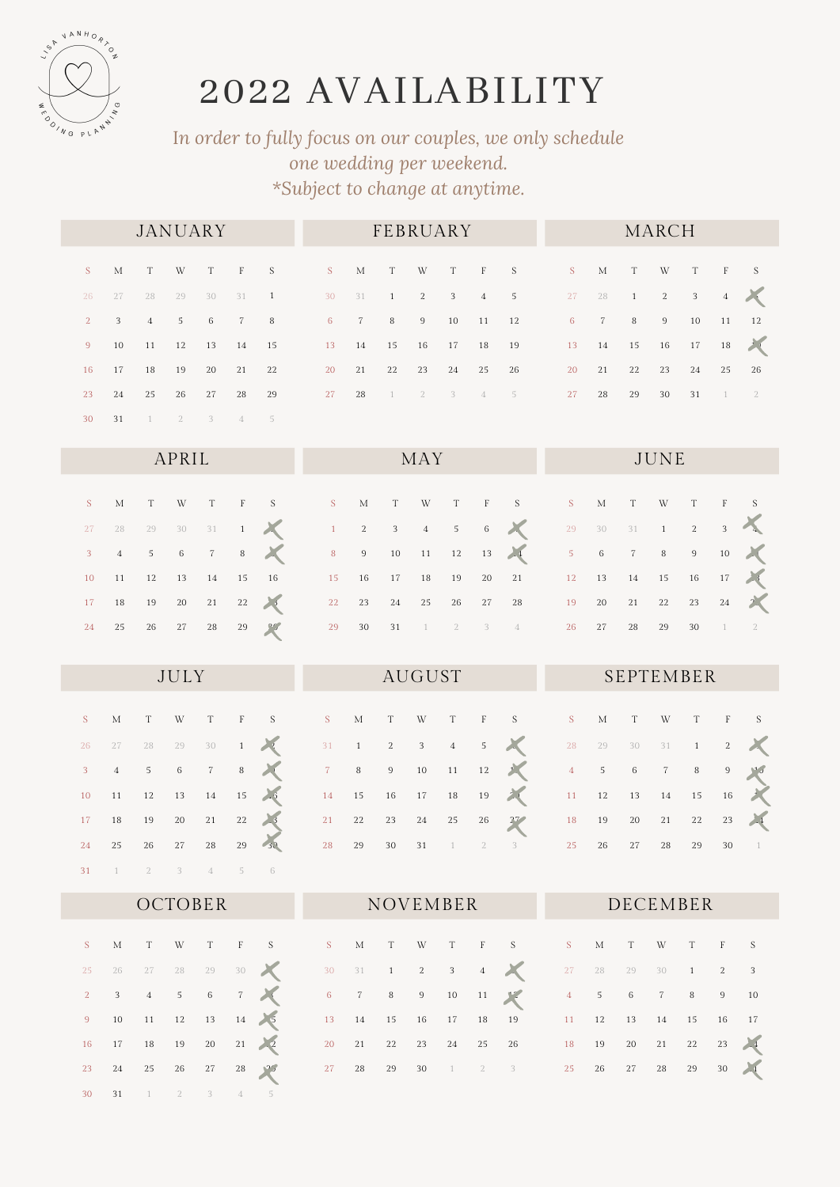

1 2 3 4 5 6

5

31 1 2

## AVAILABILITY

## I*n order to fully focus on our couples, we only schedule one wedding per weekend. \*Subject to change at anytime.*

|                |       | <b>JANUARY</b>    |                |                 |       |                         |                      |  | FEBRUARY |  |                  |                                     |                  |                        |    | MARCH |                          |       |      |
|----------------|-------|-------------------|----------------|-----------------|-------|-------------------------|----------------------|--|----------|--|------------------|-------------------------------------|------------------|------------------------|----|-------|--------------------------|-------|------|
|                |       |                   |                |                 |       | SMTWTFS SMTWTFS SMTWTFS |                      |  |          |  |                  |                                     |                  |                        |    |       |                          |       |      |
| 26             | 2.7   | 28                | 29             |                 |       | 30 31 1 30 31 1 2 3 4 5 |                      |  |          |  |                  |                                     | 27 28 1 2        |                        |    |       | $\overline{\phantom{a}}$ | 4     |      |
| 2 <sup>1</sup> |       | $3 \t 4$          | 5 <sup>7</sup> | $6\overline{6}$ | 7 8   |                         |                      |  |          |  | 6 7 8 9 10 11 12 |                                     | 6 7 8 9 10 11 12 |                        |    |       |                          |       |      |
| 9              |       | 10 11 12 13 14 15 |                |                 |       |                         | 13 14 15 16 17 18 19 |  |          |  |                  |                                     |                  | 13  14  15  16  17  18 |    |       |                          |       |      |
| 16             | 17 18 |                   | 19             | 20              | 21 22 |                         |                      |  | 20 21 22 |  | 23 24 25 26      |                                     |                  | 20 21 22               |    | 23    |                          | 24 25 | - 26 |
| 23             |       | 24 25             | 26             | 27 28           |       | 29                      | 27 28                |  |          |  |                  | $1 \quad 2 \quad 3 \quad 4 \quad 5$ | 27               | 28                     | 29 | 30    | 31                       | 1 2   |      |
| 30             | 31    |                   | $\overline{2}$ | 3 <sup>2</sup>  | 4     | $-5$                    |                      |  |          |  |                  |                                     |                  |                        |    |       |                          |       |      |

|  | APRIL |  |  | <b>Example 18 MAY</b> |  |  |  | <b>STATE SERVICE</b>                                                                   |  |  |  |  |
|--|-------|--|--|-----------------------|--|--|--|----------------------------------------------------------------------------------------|--|--|--|--|
|  |       |  |  |                       |  |  |  |                                                                                        |  |  |  |  |
|  |       |  |  |                       |  |  |  |                                                                                        |  |  |  |  |
|  |       |  |  |                       |  |  |  | $27$ $28$ $29$ $30$ $31$ $1$ $1$ $2$ $3$ $4$ $5$ $6$ $1$ $2$ $30$ $31$ $1$ $2$ $3$ $1$ |  |  |  |  |
|  |       |  |  |                       |  |  |  | $3$ 4 5 6 7 8 $\times$ 8 9 10 11 12 13 $\times$ 5 6 7 8 9 10 $\times$                  |  |  |  |  |
|  |       |  |  |                       |  |  |  | 10 11 12 13 14 15 16 15 16 17 18 19 20 21 12 13 14 15 16 17                            |  |  |  |  |
|  |       |  |  |                       |  |  |  | 17 18 19 20 21 22 23 24 25 26 27 28 19 20 21 22 23 24 25                               |  |  |  |  |
|  |       |  |  |                       |  |  |  | 24  25  26  27  28  29  30  31 $1$ $2$ $3$ $4$ $26$ 27  28  29  30 $1$ $2$             |  |  |  |  |

|    |  | JULY |  | <b>Example 20 AUGUST</b>      |  |  |  | <b>SEPTEMBER</b>                                                            |          |  |  |
|----|--|------|--|-------------------------------|--|--|--|-----------------------------------------------------------------------------|----------|--|--|
|    |  |      |  |                               |  |  |  | SMTWTFS SMTWTFS SMTWTFS                                                     |          |  |  |
| 26 |  |      |  |                               |  |  |  | $27$ $28$ $29$ $30$ 1 2 3 1 1 2 3 4 5 $\swarrow$ 28 29 30 31 1 2 $\swarrow$ |          |  |  |
|    |  |      |  |                               |  |  |  | 3 4 5 6 7 8 1 7 8 9 10 11 12 12 4 5 6 7 8 9 10                              |          |  |  |
|    |  |      |  |                               |  |  |  | 10 11 12 13 14 15 15 14 15 16 17 18 19 18 11 12 13 14 15 16                 |          |  |  |
|    |  |      |  |                               |  |  |  | 17 18 19 20 21 22 3 21 22 23 24 25 26 27 18 19 20 21 22 23 4                |          |  |  |
| 24 |  |      |  | 26 27 28 29 30 29 30 31 1 2 3 |  |  |  |                                                                             | 25 26 27 |  |  |

|  |  | <b>OCTOBER</b> |  |  |  |  | NOVEMBER DECEMBER                                                                          |  |  |  |  |
|--|--|----------------|--|--|--|--|--------------------------------------------------------------------------------------------|--|--|--|--|
|  |  |                |  |  |  |  | SMTWTFS SMTWTFS SMTWTFS                                                                    |  |  |  |  |
|  |  |                |  |  |  |  | 25   26   27   28   29   30   30   31   1   2   3   4   30   27   28   29   30   1   2   3 |  |  |  |  |
|  |  |                |  |  |  |  | $2$ 3 4 5 6 7 $8$ 6 7 8 9 10 11 $4$ 5 6 7 8 9 10                                           |  |  |  |  |
|  |  |                |  |  |  |  | 9 10 11 12 13 14 5 13 14 15 16 17 18 19 11 12 13 14 15 16 17                               |  |  |  |  |
|  |  |                |  |  |  |  | 16 17 18 19 20 21 22 20 21 22 23 24 25 26 18 19 20 21 22 23 24                             |  |  |  |  |
|  |  |                |  |  |  |  | 23  24  25  26  27  28  29  29  30  1  2  3  29  29  29  29  30  21                        |  |  |  |  |